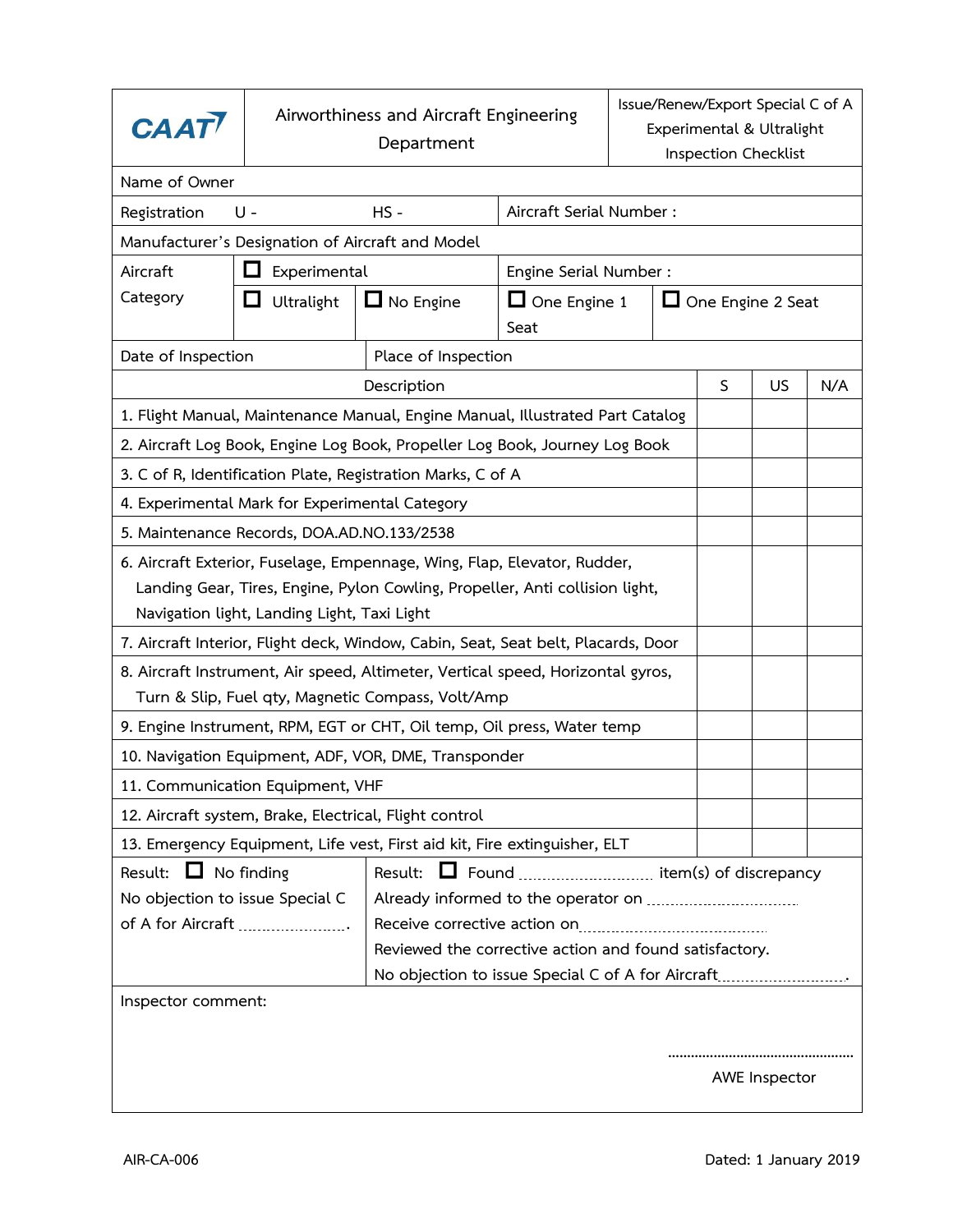| <b>CAAT</b>                                                                                                                                                                                             | Airworthiness and Aircraft Engineering<br>Department |                                                                               |      | Issue/Renew/Export Special C of A<br>Experimental & Ultralight<br>Inspection Checklist |   |    |     |  |  |  |  |
|---------------------------------------------------------------------------------------------------------------------------------------------------------------------------------------------------------|------------------------------------------------------|-------------------------------------------------------------------------------|------|----------------------------------------------------------------------------------------|---|----|-----|--|--|--|--|
| Name of Owner                                                                                                                                                                                           |                                                      |                                                                               |      |                                                                                        |   |    |     |  |  |  |  |
| Registration                                                                                                                                                                                            | U -                                                  | $HS -$                                                                        |      | Aircraft Serial Number:                                                                |   |    |     |  |  |  |  |
| Manufacturer's Designation of Aircraft and Model                                                                                                                                                        |                                                      |                                                                               |      |                                                                                        |   |    |     |  |  |  |  |
| Aircraft                                                                                                                                                                                                | Experimental<br>l I                                  | Engine Serial Number :                                                        |      |                                                                                        |   |    |     |  |  |  |  |
| Category                                                                                                                                                                                                | ப<br>Ultralight                                      | $\Box$ No Engine                                                              | Seat | $\Box$ One Engine 1<br>$\Box$ One Engine 2 Seat                                        |   |    |     |  |  |  |  |
| Date of Inspection                                                                                                                                                                                      |                                                      | Place of Inspection                                                           |      |                                                                                        |   |    |     |  |  |  |  |
|                                                                                                                                                                                                         |                                                      | Description                                                                   |      |                                                                                        | S | US | N/A |  |  |  |  |
|                                                                                                                                                                                                         |                                                      | 1. Flight Manual, Maintenance Manual, Engine Manual, Illustrated Part Catalog |      |                                                                                        |   |    |     |  |  |  |  |
|                                                                                                                                                                                                         |                                                      | 2. Aircraft Log Book, Engine Log Book, Propeller Log Book, Journey Log Book   |      |                                                                                        |   |    |     |  |  |  |  |
| 3. C of R, Identification Plate, Registration Marks, C of A                                                                                                                                             |                                                      |                                                                               |      |                                                                                        |   |    |     |  |  |  |  |
| 4. Experimental Mark for Experimental Category                                                                                                                                                          |                                                      |                                                                               |      |                                                                                        |   |    |     |  |  |  |  |
| 5. Maintenance Records, DOA.AD.NO.133/2538                                                                                                                                                              |                                                      |                                                                               |      |                                                                                        |   |    |     |  |  |  |  |
| 6. Aircraft Exterior, Fuselage, Empennage, Wing, Flap, Elevator, Rudder,<br>Landing Gear, Tires, Engine, Pylon Cowling, Propeller, Anti collision light,<br>Navigation light, Landing Light, Taxi Light |                                                      |                                                                               |      |                                                                                        |   |    |     |  |  |  |  |
| 7. Aircraft Interior, Flight deck, Window, Cabin, Seat, Seat belt, Placards, Door                                                                                                                       |                                                      |                                                                               |      |                                                                                        |   |    |     |  |  |  |  |
| 8. Aircraft Instrument, Air speed, Altimeter, Vertical speed, Horizontal gyros,                                                                                                                         |                                                      |                                                                               |      |                                                                                        |   |    |     |  |  |  |  |
| Turn & Slip, Fuel qty, Magnetic Compass, Volt/Amp                                                                                                                                                       |                                                      |                                                                               |      |                                                                                        |   |    |     |  |  |  |  |
| 9. Engine Instrument, RPM, EGT or CHT, Oil temp, Oil press, Water temp                                                                                                                                  |                                                      |                                                                               |      |                                                                                        |   |    |     |  |  |  |  |
| 10. Navigation Equipment, ADF, VOR, DME, Transponder                                                                                                                                                    |                                                      |                                                                               |      |                                                                                        |   |    |     |  |  |  |  |
| 11. Communication Equipment, VHF                                                                                                                                                                        |                                                      |                                                                               |      |                                                                                        |   |    |     |  |  |  |  |
| 12. Aircraft system, Brake, Electrical, Flight control                                                                                                                                                  |                                                      |                                                                               |      |                                                                                        |   |    |     |  |  |  |  |
| 13. Emergency Equipment, Life vest, First aid kit, Fire extinguisher, ELT                                                                                                                               |                                                      |                                                                               |      |                                                                                        |   |    |     |  |  |  |  |
| Result: $\Box$ No finding<br>□ Found  item(s) of discrepancy<br>Result:                                                                                                                                 |                                                      |                                                                               |      |                                                                                        |   |    |     |  |  |  |  |
| No objection to issue Special C                                                                                                                                                                         |                                                      |                                                                               |      |                                                                                        |   |    |     |  |  |  |  |
| of A for Aircraft                                                                                                                                                                                       |                                                      |                                                                               |      |                                                                                        |   |    |     |  |  |  |  |
| Reviewed the corrective action and found satisfactory.                                                                                                                                                  |                                                      |                                                                               |      |                                                                                        |   |    |     |  |  |  |  |
| No objection to issue Special C of A for Aircraft                                                                                                                                                       |                                                      |                                                                               |      |                                                                                        |   |    |     |  |  |  |  |
| Inspector comment:<br>AWE Inspector                                                                                                                                                                     |                                                      |                                                                               |      |                                                                                        |   |    |     |  |  |  |  |